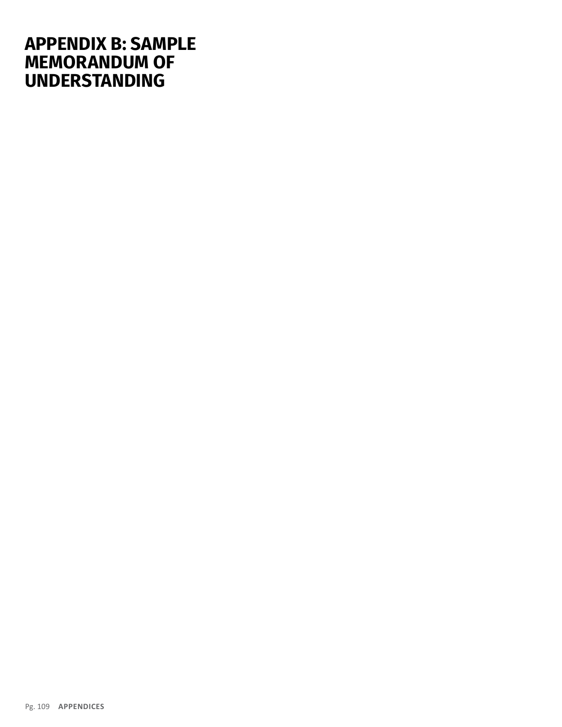# **APPENDIX B: SAMPLE MEMORANDUM OF UNDERSTANDING**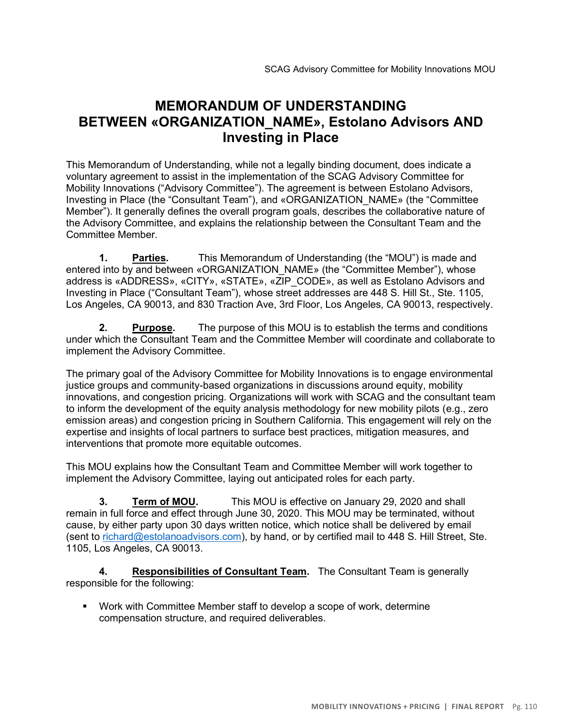## **MEMORANDUM OF UNDERSTANDING BETWEEN «ORGANIZATION\_NAME», Estolano Advisors AND Investing in Place**

This Memorandum of Understanding, while not a legally binding document, does indicate a voluntary agreement to assist in the implementation of the SCAG Advisory Committee for Mobility Innovations ("Advisory Committee"). The agreement is between Estolano Advisors, Investing in Place (the "Consultant Team"), and «ORGANIZATION\_NAME» (the "Committee Member"). It generally defines the overall program goals, describes the collaborative nature of the Advisory Committee, and explains the relationship between the Consultant Team and the Committee Member.

**1. Parties.** This Memorandum of Understanding (the "MOU") is made and entered into by and between «ORGANIZATION NAME» (the "Committee Member"), whose address is «ADDRESS», «CITY», «STATE», «ZIP\_CODE», as well as Estolano Advisors and Investing in Place ("Consultant Team"), whose street addresses are 448 S. Hill St., Ste. 1105, Los Angeles, CA 90013, and 830 Traction Ave, 3rd Floor, Los Angeles, CA 90013, respectively.

**2. Purpose.** The purpose of this MOU is to establish the terms and conditions under which the Consultant Team and the Committee Member will coordinate and collaborate to implement the Advisory Committee.

The primary goal of the Advisory Committee for Mobility Innovations is to engage environmental justice groups and community-based organizations in discussions around equity, mobility innovations, and congestion pricing. Organizations will work with SCAG and the consultant team to inform the development of the equity analysis methodology for new mobility pilots (e.g., zero emission areas) and congestion pricing in Southern California. This engagement will rely on the expertise and insights of local partners to surface best practices, mitigation measures, and interventions that promote more equitable outcomes.

This MOU explains how the Consultant Team and Committee Member will work together to implement the Advisory Committee, laying out anticipated roles for each party.

**3. Term of MOU.** This MOU is effective on January 29, 2020 and shall remain in full force and effect through June 30, 2020. This MOU may be terminated, without cause, by either party upon 30 days written notice, which notice shall be delivered by email (sent to richard@estolanoadvisors.com), by hand, or by certified mail to 448 S. Hill Street, Ste. 1105, Los Angeles, CA 90013.

**4. Responsibilities of Consultant Team.** The Consultant Team is generally responsible for the following:

▪ Work with Committee Member staff to develop a scope of work, determine compensation structure, and required deliverables.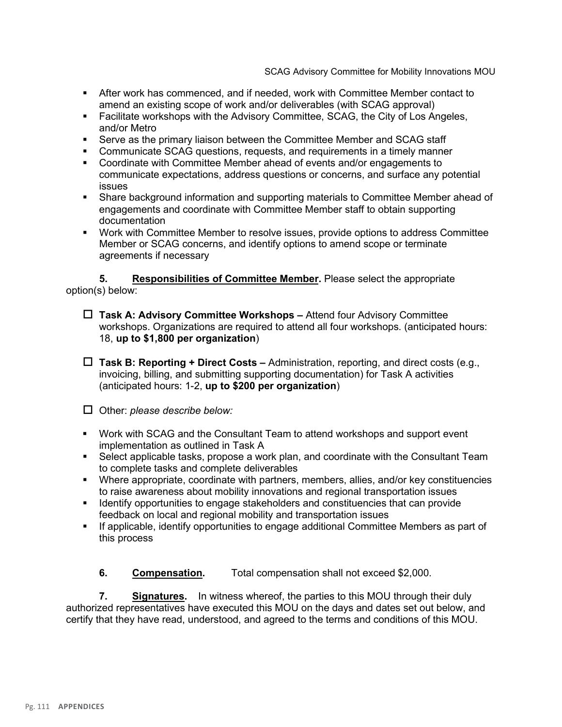- **EXECT** After work has commenced, and if needed, work with Committee Member contact to amend an existing scope of work and/or deliverables (with SCAG approval)
- Facilitate workshops with the Advisory Committee, SCAG, the City of Los Angeles, and/or Metro
- Serve as the primary liaison between the Committee Member and SCAG staff
- Communicate SCAG questions, requests, and requirements in a timely manner
- Coordinate with Committee Member ahead of events and/or engagements to communicate expectations, address questions or concerns, and surface any potential issues
- **Share background information and supporting materials to Committee Member ahead of** engagements and coordinate with Committee Member staff to obtain supporting documentation
- Work with Committee Member to resolve issues, provide options to address Committee Member or SCAG concerns, and identify options to amend scope or terminate agreements if necessary

**5. Responsibilities of Committee Member.** Please select the appropriate option(s) below:

- **Task A: Advisory Committee Workshops –** Attend four Advisory Committee workshops. Organizations are required to attend all four workshops. (anticipated hours: 18, **up to \$1,800 per organization**)
- **Task B: Reporting + Direct Costs –** Administration, reporting, and direct costs (e.g., invoicing, billing, and submitting supporting documentation) for Task A activities (anticipated hours: 1-2, **up to \$200 per organization**)

Other: *please describe below:*

- Work with SCAG and the Consultant Team to attend workshops and support event implementation as outlined in Task A
- Select applicable tasks, propose a work plan, and coordinate with the Consultant Team to complete tasks and complete deliverables
- Where appropriate, coordinate with partners, members, allies, and/or key constituencies to raise awareness about mobility innovations and regional transportation issues
- **EXECT** Identify opportunities to engage stakeholders and constituencies that can provide feedback on local and regional mobility and transportation issues
- If applicable, identify opportunities to engage additional Committee Members as part of this process

**6. Compensation.** Total compensation shall not exceed \$2,000.

**7. Signatures.** In witness whereof, the parties to this MOU through their duly authorized representatives have executed this MOU on the days and dates set out below, and certify that they have read, understood, and agreed to the terms and conditions of this MOU.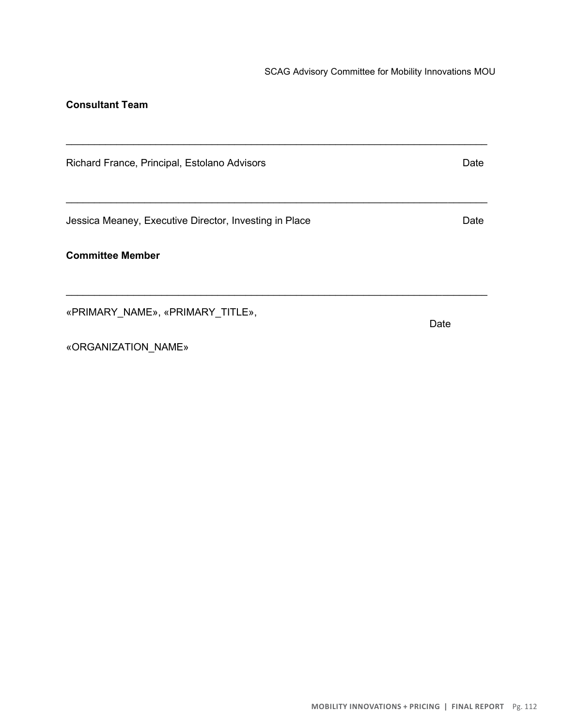## **Consultant Team**

| Richard France, Principal, Estolano Advisors           | Date |
|--------------------------------------------------------|------|
| Jessica Meaney, Executive Director, Investing in Place | Date |
| <b>Committee Member</b>                                |      |
| «PRIMARY NAME», «PRIMARY TITLE»,                       | Date |
| «ORGANIZATION NAME»                                    |      |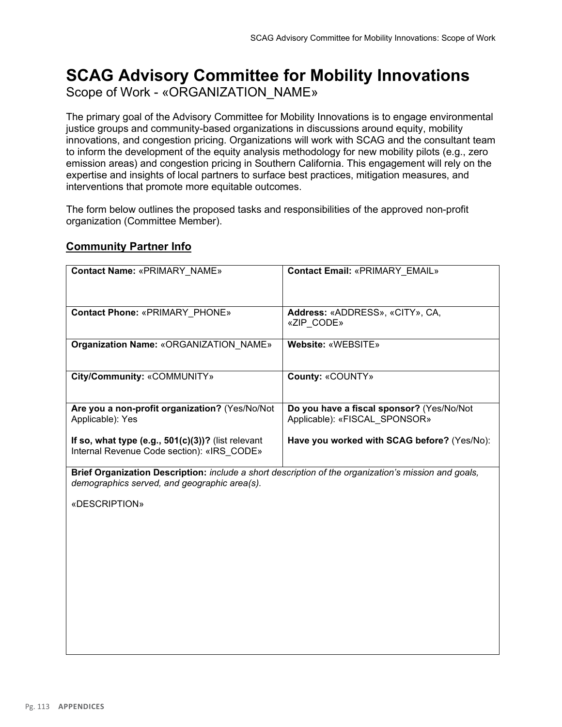## **SCAG Advisory Committee for Mobility Innovations** Scope of Work - «ORGANIZATION\_NAME»

The primary goal of the Advisory Committee for Mobility Innovations is to engage environmental justice groups and community-based organizations in discussions around equity, mobility innovations, and congestion pricing. Organizations will work with SCAG and the consultant team to inform the development of the equity analysis methodology for new mobility pilots (e.g., zero emission areas) and congestion pricing in Southern California. This engagement will rely on the expertise and insights of local partners to surface best practices, mitigation measures, and interventions that promote more equitable outcomes.

The form below outlines the proposed tasks and responsibilities of the approved non-profit organization (Committee Member).

## **Community Partner Info**

| <b>Contact Name: «PRIMARY NAME»</b>                                                                                                                  | <b>Contact Email: «PRIMARY EMAIL»</b>                                      |  |
|------------------------------------------------------------------------------------------------------------------------------------------------------|----------------------------------------------------------------------------|--|
| <b>Contact Phone: «PRIMARY PHONE»</b>                                                                                                                | Address: «ADDRESS», «CITY», CA,<br>«ZIP CODE»                              |  |
| Organization Name: «ORGANIZATION NAME»                                                                                                               | Website: «WEBSITE»                                                         |  |
| City/Community: «COMMUNITY»                                                                                                                          | County: «COUNTY»                                                           |  |
| Are you a non-profit organization? (Yes/No/Not<br>Applicable): Yes                                                                                   | Do you have a fiscal sponsor? (Yes/No/Not<br>Applicable): «FISCAL SPONSOR» |  |
| If so, what type (e.g., $501(c)(3)$ )? (list relevant<br>Internal Revenue Code section): «IRS CODE»                                                  | Have you worked with SCAG before? (Yes/No):                                |  |
| Brief Organization Description: include a short description of the organization's mission and goals,<br>demographics served, and geographic area(s). |                                                                            |  |
| «DESCRIPTION»                                                                                                                                        |                                                                            |  |
|                                                                                                                                                      |                                                                            |  |
|                                                                                                                                                      |                                                                            |  |
|                                                                                                                                                      |                                                                            |  |
|                                                                                                                                                      |                                                                            |  |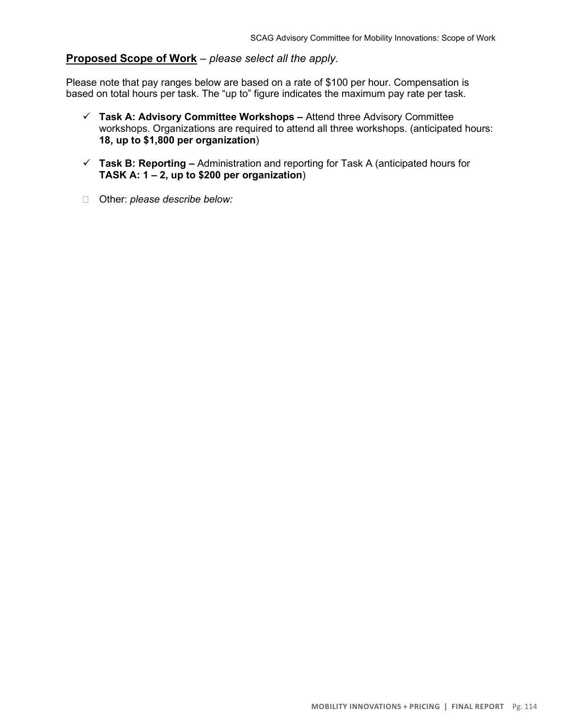## **Proposed Scope of Work** – *please select all the apply.*

Please note that pay ranges below are based on a rate of \$100 per hour. Compensation is based on total hours per task. The "up to" figure indicates the maximum pay rate per task.

- ✓ **Task A: Advisory Committee Workshops –** Attend three Advisory Committee workshops. Organizations are required to attend all three workshops. (anticipated hours: **18, up to \$1,800 per organization**)
- ✓ **Task B: Reporting –** Administration and reporting for Task A (anticipated hours for **TASK A: 1 – 2, up to \$200 per organization**)
- Other: *please describe below:*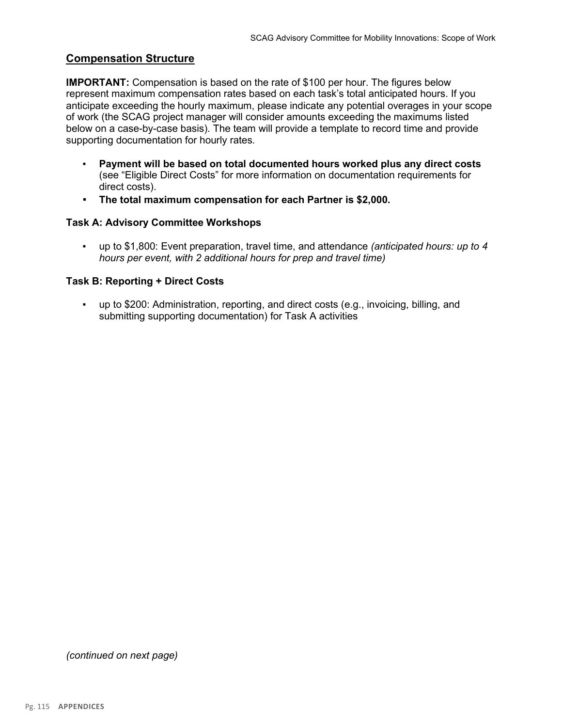#### **Compensation Structure**

**IMPORTANT:** Compensation is based on the rate of \$100 per hour. The figures below represent maximum compensation rates based on each task's total anticipated hours. If you anticipate exceeding the hourly maximum, please indicate any potential overages in your scope of work (the SCAG project manager will consider amounts exceeding the maximums listed below on a case-by-case basis). The team will provide a template to record time and provide supporting documentation for hourly rates.

- **Payment will be based on total documented hours worked plus any direct costs**  (see "Eligible Direct Costs" for more information on documentation requirements for direct costs).
- **The total maximum compensation for each Partner is \$2,000.**

#### **Task A: Advisory Committee Workshops**

▪ up to \$1,800: Event preparation, travel time, and attendance *(anticipated hours: up to 4 hours per event, with 2 additional hours for prep and travel time)*

#### **Task B: Reporting + Direct Costs**

▪ up to \$200: Administration, reporting, and direct costs (e.g., invoicing, billing, and submitting supporting documentation) for Task A activities

*(continued on next page)*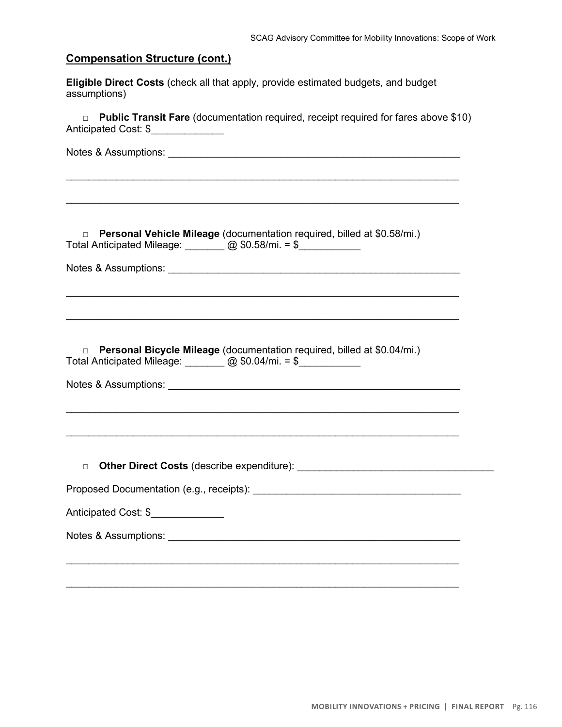## **Compensation Structure (cont.)**

**Eligible Direct Costs** (check all that apply, provide estimated budgets, and budget assumptions)

| <b>Public Transit Fare</b> (documentation required, receipt required for fares above \$10)<br>$\Box$<br>Anticipated Cost: \$         |  |
|--------------------------------------------------------------------------------------------------------------------------------------|--|
|                                                                                                                                      |  |
|                                                                                                                                      |  |
| Personal Vehicle Mileage (documentation required, billed at \$0.58/mi.)<br>$\Box$<br>Total Anticipated Mileage: 200 \$0.58/mi. = \$  |  |
|                                                                                                                                      |  |
|                                                                                                                                      |  |
| Personal Bicycle Mileage (documentation required, billed at \$0.04/mi.)<br>$\Box$<br>Total Anticipated Mileage: 2000 \$0.04/mi. = \$ |  |
|                                                                                                                                      |  |
| $\Box$                                                                                                                               |  |
|                                                                                                                                      |  |
| Anticipated Cost: \$                                                                                                                 |  |
|                                                                                                                                      |  |
|                                                                                                                                      |  |
|                                                                                                                                      |  |

 $\_$  , and the contribution of the contribution of  $\mathcal{L}_\mathcal{A}$  , and the contribution of  $\mathcal{L}_\mathcal{A}$  , and the contribution of  $\mathcal{L}_\mathcal{A}$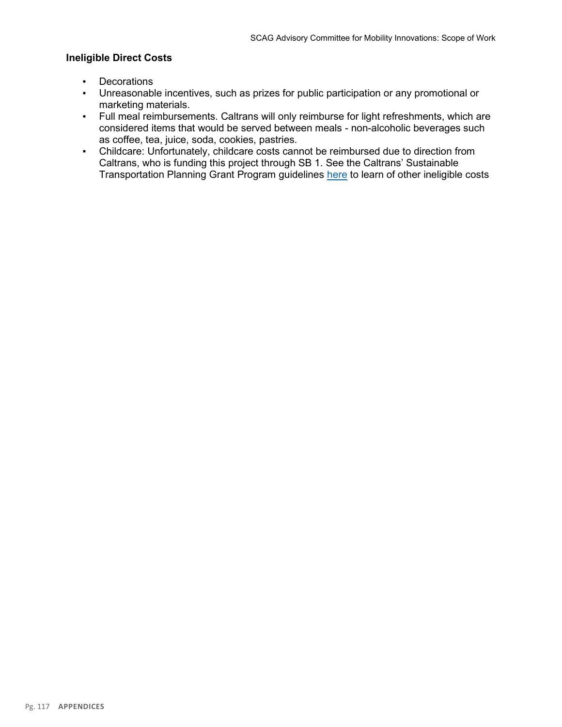#### **Ineligible Direct Costs**

- Decorations
- Unreasonable incentives, such as prizes for public participation or any promotional or marketing materials.
- Full meal reimbursements. Caltrans will only reimburse for light refreshments, which are considered items that would be served between meals - non-alcoholic beverages such as coffee, tea, juice, soda, cookies, pastries.
- Childcare: Unfortunately, childcare costs cannot be reimbursed due to direction from Caltrans, who is funding this project through SB 1. See the Caltrans' Sustainable Transportation Planning Grant Program guidelines here to learn of other ineligible costs